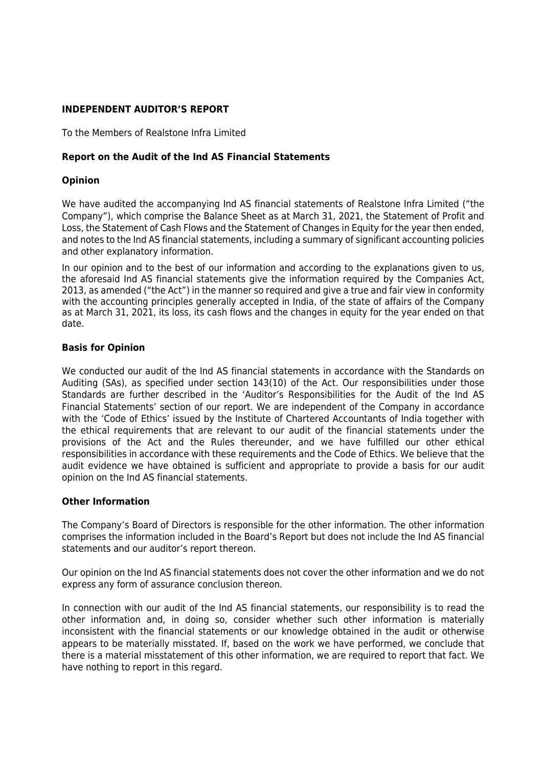## **INDEPENDENT AUDITOR'S REPORT**

To the Members of Realstone Infra Limited

## Report on the Audit of the Ind AS Financial Statements

### **Opinion**

We have audited the accompanying Ind AS financial statements of Realstone Infra Limited ("the Company"), which comprise the Balance Sheet as at March 31, 2021, the Statement of Profit and Loss, the Statement of Cash Flows and the Statement of Changes in Equity for the year then ended, and notes to the Ind AS financial statements, including a summary of significant accounting policies and other explanatory information.

In our opinion and to the best of our information and according to the explanations given to us. the aforesaid Ind AS financial statements give the information required by the Companies Act, 2013, as amended ("the Act") in the manner so required and give a true and fair view in conformity with the accounting principles generally accepted in India, of the state of affairs of the Company as at March 31, 2021, its loss, its cash flows and the changes in equity for the year ended on that date.

### **Basis for Opinion**

We conducted our audit of the Ind AS financial statements in accordance with the Standards on Auditing (SAs), as specified under section 143(10) of the Act. Our responsibilities under those Standards are further described in the 'Auditor's Responsibilities for the Audit of the Ind AS Financial Statements' section of our report. We are independent of the Company in accordance with the 'Code of Ethics' issued by the Institute of Chartered Accountants of India together with the ethical requirements that are relevant to our audit of the financial statements under the provisions of the Act and the Rules thereunder, and we have fulfilled our other ethical responsibilities in accordance with these requirements and the Code of Ethics. We believe that the audit evidence we have obtained is sufficient and appropriate to provide a basis for our audit opinion on the Ind AS financial statements.

### **Other Information**

The Company's Board of Directors is responsible for the other information. The other information comprises the information included in the Board's Report but does not include the Ind AS financial statements and our auditor's report thereon.

Our opinion on the Ind AS financial statements does not cover the other information and we do not express any form of assurance conclusion thereon.

In connection with our audit of the Ind AS financial statements, our responsibility is to read the other information and, in doing so, consider whether such other information is materially inconsistent with the financial statements or our knowledge obtained in the audit or otherwise appears to be materially misstated. If, based on the work we have performed, we conclude that there is a material misstatement of this other information, we are required to report that fact. We have nothing to report in this regard.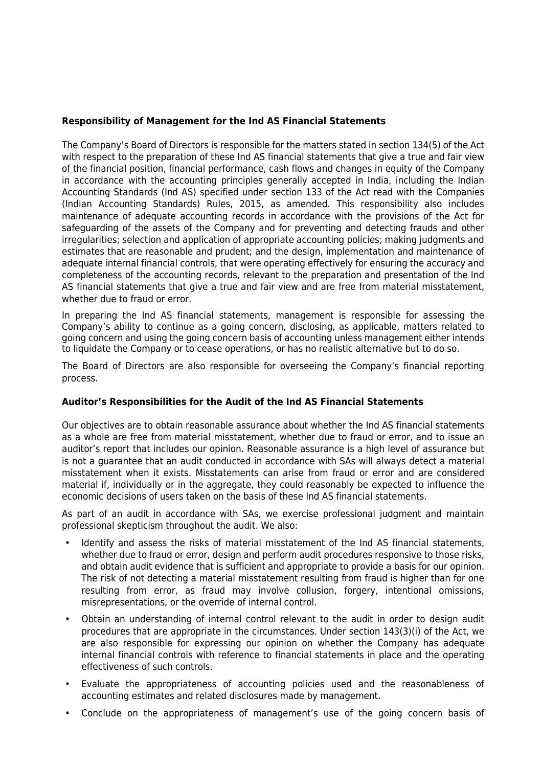## **Responsibility of Management for the Ind AS Financial Statements**

The Company's Board of Directors is responsible for the matters stated in section 134(5) of the Act with respect to the preparation of these Ind AS financial statements that give a true and fair view of the financial position, financial performance, cash flows and changes in equity of the Company in accordance with the accounting principles generally accepted in India, including the Indian Accounting Standards (Ind AS) specified under section 133 of the Act read with the Companies (Indian Accounting Standards) Rules, 2015, as amended. This responsibility also includes maintenance of adequate accounting records in accordance with the provisions of the Act for safeguarding of the assets of the Company and for preventing and detecting frauds and other irregularities; selection and application of appropriate accounting policies; making judgments and estimates that are reasonable and prudent; and the design, implementation and maintenance of adequate internal financial controls, that were operating effectively for ensuring the accuracy and completeness of the accounting records, relevant to the preparation and presentation of the Ind AS financial statements that give a true and fair view and are free from material misstatement, whether due to fraud or error.

In preparing the Ind AS financial statements, management is responsible for assessing the Company's ability to continue as a going concern, disclosing, as applicable, matters related to going concern and using the going concern basis of accounting unless management either intends to liquidate the Company or to cease operations, or has no realistic alternative but to do so.

The Board of Directors are also responsible for overseeing the Company's financial reporting process.

### Auditor's Responsibilities for the Audit of the Ind AS Financial Statements

Our objectives are to obtain reasonable assurance about whether the Ind AS financial statements as a whole are free from material misstatement, whether due to fraud or error, and to issue an auditor's report that includes our opinion. Reasonable assurance is a high level of assurance but is not a quarantee that an audit conducted in accordance with SAs will always detect a material misstatement when it exists. Misstatements can arise from fraud or error and are considered material if, individually or in the aggregate, they could reasonably be expected to influence the economic decisions of users taken on the basis of these Ind AS financial statements.

As part of an audit in accordance with SAs, we exercise professional judgment and maintain professional skepticism throughout the audit. We also:

- Identify and assess the risks of material misstatement of the Ind AS financial statements, whether due to fraud or error, design and perform audit procedures responsive to those risks. and obtain audit evidence that is sufficient and appropriate to provide a basis for our opinion. The risk of not detecting a material misstatement resulting from fraud is higher than for one resulting from error, as fraud may involve collusion, forgery, intentional omissions, misrepresentations, or the override of internal control.
- Obtain an understanding of internal control relevant to the audit in order to design audit procedures that are appropriate in the circumstances. Under section 143(3)(i) of the Act, we are also responsible for expressing our opinion on whether the Company has adequate internal financial controls with reference to financial statements in place and the operating effectiveness of such controls.
- Evaluate the appropriateness of accounting policies used and the reasonableness of accounting estimates and related disclosures made by management.
- Conclude on the appropriateness of management's use of the going concern basis of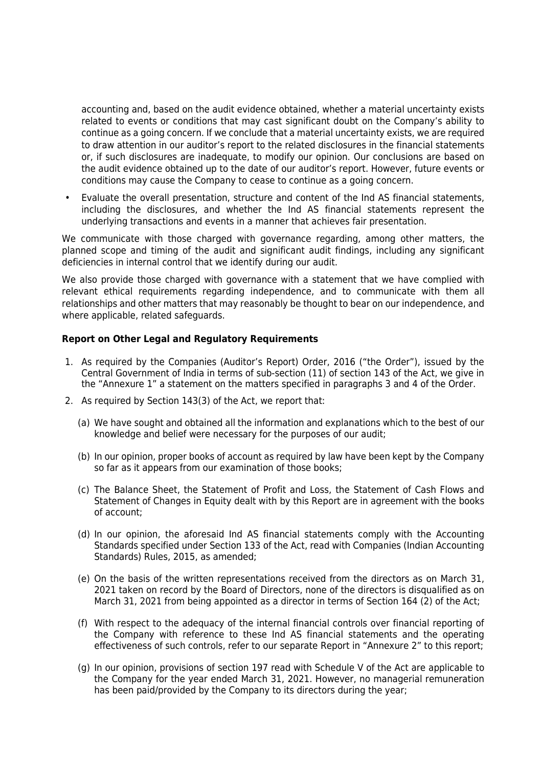accounting and, based on the audit evidence obtained, whether a material uncertainty exists related to events or conditions that may cast significant doubt on the Company's ability to continue as a going concern. If we conclude that a material uncertainty exists, we are reguired to draw attention in our auditor's report to the related disclosures in the financial statements or, if such disclosures are inadequate, to modify our opinion. Our conclusions are based on the audit evidence obtained up to the date of our auditor's report. However, future events or conditions may cause the Company to cease to continue as a going concern.

Evaluate the overall presentation, structure and content of the Ind AS financial statements, including the disclosures, and whether the Ind AS financial statements represent the underlying transactions and events in a manner that achieves fair presentation.

We communicate with those charged with governance regarding, among other matters, the planned scope and timing of the audit and significant audit findings, including any significant deficiencies in internal control that we identify during our audit.

We also provide those charged with governance with a statement that we have complied with relevant ethical requirements regarding independence, and to communicate with them all relationships and other matters that may reasonably be thought to bear on our independence, and where applicable, related safeguards.

### **Report on Other Legal and Regulatory Requirements**

- 1. As required by the Companies (Auditor's Report) Order, 2016 ("the Order"), issued by the Central Government of India in terms of sub-section (11) of section 143 of the Act, we give in the "Annexure 1" a statement on the matters specified in paragraphs 3 and 4 of the Order.
- 2. As required by Section 143(3) of the Act, we report that:
	- (a) We have sought and obtained all the information and explanations which to the best of our knowledge and belief were necessary for the purposes of our audit:
	- (b) In our opinion, proper books of account as reguired by law have been kept by the Company so far as it appears from our examination of those books;
	- (c) The Balance Sheet, the Statement of Profit and Loss, the Statement of Cash Flows and Statement of Changes in Equity dealt with by this Report are in agreement with the books of account;
	- (d) In our opinion, the aforesaid Ind AS financial statements comply with the Accounting Standards specified under Section 133 of the Act, read with Companies (Indian Accounting Standards) Rules, 2015, as amended;
	- (e) On the basis of the written representations received from the directors as on March 31. 2021 taken on record by the Board of Directors, none of the directors is disgualified as on March 31, 2021 from being appointed as a director in terms of Section 164 (2) of the Act;
	- (f) With respect to the adequacy of the internal financial controls over financial reporting of the Company with reference to these Ind AS financial statements and the operating effectiveness of such controls, refer to our separate Report in "Annexure 2" to this report;
	- (g) In our opinion, provisions of section 197 read with Schedule V of the Act are applicable to the Company for the year ended March 31, 2021. However, no managerial remuneration has been paid/provided by the Company to its directors during the year;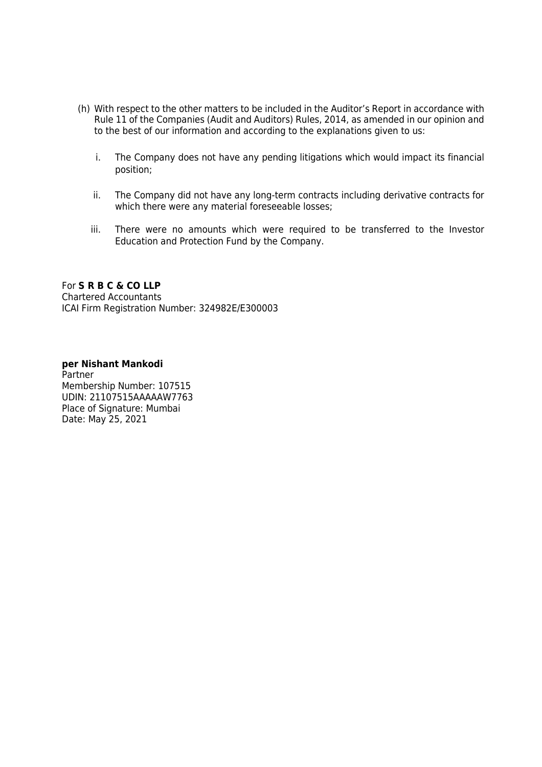- (h) With respect to the other matters to be included in the Auditor's Report in accordance with Rule 11 of the Companies (Audit and Auditors) Rules, 2014, as amended in our opinion and to the best of our information and according to the explanations given to us:
	- i. The Company does not have any pending litigations which would impact its financial position;
	- ii. The Company did not have any long-term contracts including derivative contracts for which there were any material foreseeable losses;
	- iii. There were no amounts which were required to be transferred to the Investor Education and Protection Fund by the Company.

### For S R B C & CO LLP

Chartered Accountants ICAI Firm Registration Number: 324982E/E300003

per Nishant Mankodi Partner Membership Number: 107515 UDIN: 21107515AAAAAW7763 Place of Signature: Mumbai Date: May 25, 2021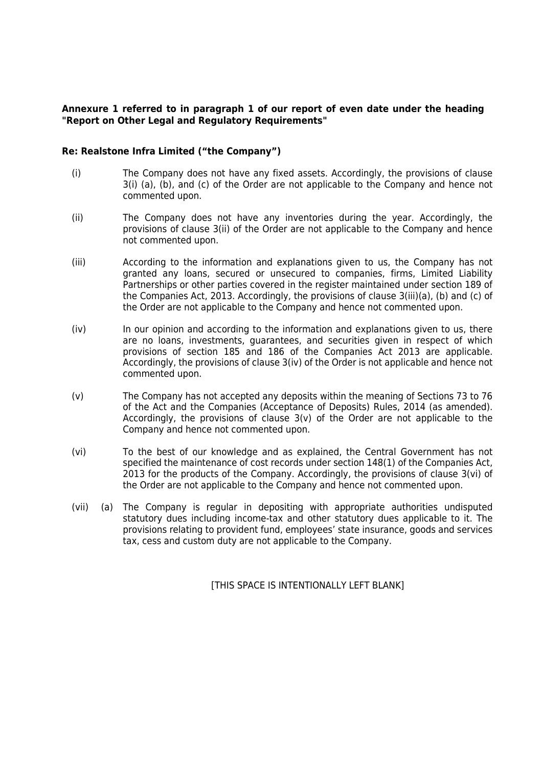### Annexure 1 referred to in paragraph 1 of our report of even date under the heading "Report on Other Legal and Regulatory Requirements"

### Re: Realstone Infra Limited ("the Company")

- $(i)$ The Company does not have any fixed assets. Accordingly, the provisions of clause 3(i) (a), (b), and (c) of the Order are not applicable to the Company and hence not commented upon.
- $(ii)$ The Company does not have any inventories during the year. Accordingly, the provisions of clause 3(ii) of the Order are not applicable to the Company and hence not commented upon.
- $(iii)$ According to the information and explanations given to us, the Company has not granted any loans, secured or unsecured to companies, firms, Limited Liability Partnerships or other parties covered in the register maintained under section 189 of the Companies Act, 2013. Accordingly, the provisions of clause 3(iii)(a), (b) and (c) of the Order are not applicable to the Company and hence not commented upon.
- $(iv)$ In our opinion and according to the information and explanations given to us, there are no loans, investments, quarantees, and securities given in respect of which provisions of section 185 and 186 of the Companies Act 2013 are applicable. Accordingly, the provisions of clause 3(iv) of the Order is not applicable and hence not commented upon.
- $(v)$ The Company has not accepted any deposits within the meaning of Sections 73 to 76 of the Act and the Companies (Acceptance of Deposits) Rules, 2014 (as amended). Accordingly, the provisions of clause  $3(v)$  of the Order are not applicable to the Company and hence not commented upon.
- $(vi)$ To the best of our knowledge and as explained, the Central Government has not specified the maintenance of cost records under section 148(1) of the Companies Act, 2013 for the products of the Company. Accordingly, the provisions of clause 3(vi) of the Order are not applicable to the Company and hence not commented upon.
- (a) The Company is regular in depositing with appropriate authorities undisputed  $(vii)$ statutory dues including income-tax and other statutory dues applicable to it. The provisions relating to provident fund, employees' state insurance, goods and services tax, cess and custom duty are not applicable to the Company.

**ITHIS SPACE IS INTENTIONALLY LEFT BLANK1**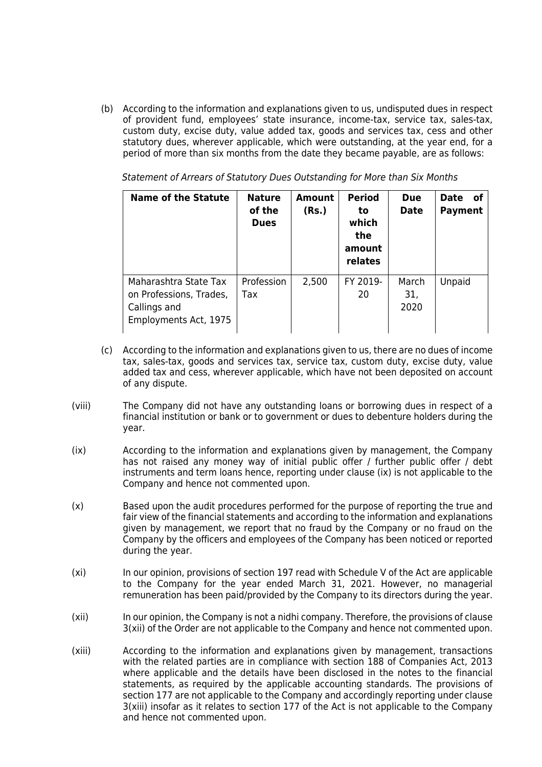(b) According to the information and explanations given to us, undisputed dues in respect of provident fund, emplovees' state insurance, income-tax, service tax, sales-tax, custom duty, excise duty, value added tax, goods and services tax, cess and other statutory dues, wherever applicable, which were outstanding, at the year end, for a period of more than six months from the date they became payable, are as follows:

| <b>Name of the Statute</b>                                                                | <b>Nature</b><br>of the<br><b>Dues</b> | <b>Amount</b><br>(Rs.) | <b>Period</b><br>to<br>which<br>the<br>amount<br>relates | <b>Due</b><br><b>Date</b> | <b>Date</b><br>of<br><b>Payment</b> |
|-------------------------------------------------------------------------------------------|----------------------------------------|------------------------|----------------------------------------------------------|---------------------------|-------------------------------------|
| Maharashtra State Tax<br>on Professions, Trades,<br>Callings and<br>Employments Act, 1975 | Profession<br>Tax                      | 2,500                  | FY 2019-<br>20                                           | March<br>31,<br>2020      | Unpaid                              |

Statement of Arrears of Statutory Dues Outstanding for More than Six Months

- (c) According to the information and explanations given to us, there are no dues of income tax, sales-tax, goods and services tax, service tax, custom duty, excise duty, value added tax and cess, wherever applicable, which have not been deposited on account of any dispute.
- $(viii)$ The Company did not have any outstanding loans or borrowing dues in respect of a financial institution or bank or to government or dues to debenture holders during the year.
- $(ix)$ According to the information and explanations given by management, the Company has not raised any money way of initial public offer / further public offer / debt instruments and term loans hence, reporting under clause (ix) is not applicable to the Company and hence not commented upon.
- Based upon the audit procedures performed for the purpose of reporting the true and  $(x)$ fair view of the financial statements and according to the information and explanations given by management, we report that no fraud by the Company or no fraud on the Company by the officers and employees of the Company has been noticed or reported during the year.
- $(x<sub>i</sub>)$ In our opinion, provisions of section 197 read with Schedule V of the Act are applicable to the Company for the year ended March 31, 2021. However, no managerial remuneration has been paid/provided by the Company to its directors during the year.
- $(xii)$ In our opinion, the Company is not a nidhi company. Therefore, the provisions of clause 3(xii) of the Order are not applicable to the Company and hence not commented upon.
- According to the information and explanations given by management, transactions  $(xiii)$ with the related parties are in compliance with section 188 of Companies Act, 2013 where applicable and the details have been disclosed in the notes to the financial statements, as required by the applicable accounting standards. The provisions of section 177 are not applicable to the Company and accordingly reporting under clause 3(xiii) insofar as it relates to section 177 of the Act is not applicable to the Company and hence not commented upon.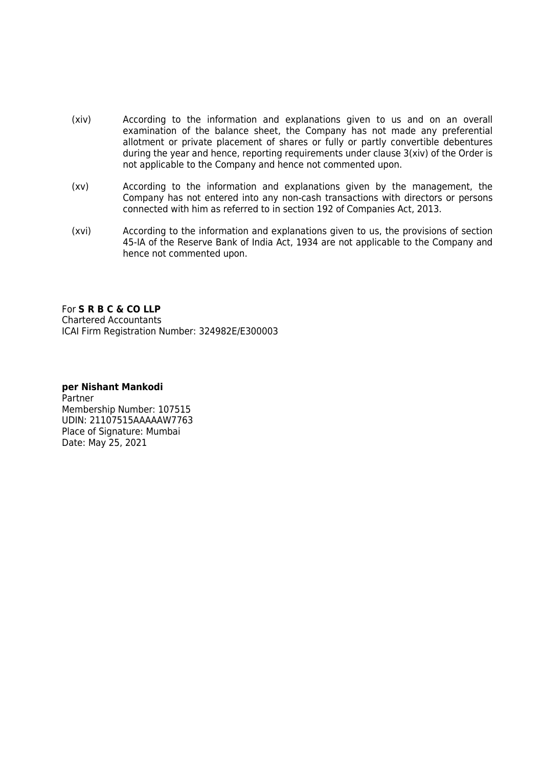- $(xiv)$ According to the information and explanations given to us and on an overall examination of the balance sheet, the Company has not made any preferential allotment or private placement of shares or fully or partly convertible debentures during the year and hence, reporting requirements under clause 3(xiv) of the Order is not applicable to the Company and hence not commented upon.
- According to the information and explanations given by the management, the  $(xv)$ Company has not entered into any non-cash transactions with directors or persons connected with him as referred to in section 192 of Companies Act, 2013.
- $(xvi)$ According to the information and explanations given to us, the provisions of section 45-IA of the Reserve Bank of India Act, 1934 are not applicable to the Company and hence not commented upon.

For S R B C & CO LLP **Chartered Accountants** ICAI Firm Registration Number: 324982E/E300003

per Nishant Mankodi Partner

Membership Number: 107515 UDIN: 21107515AAAAAW7763 Place of Signature: Mumbai Date: May 25, 2021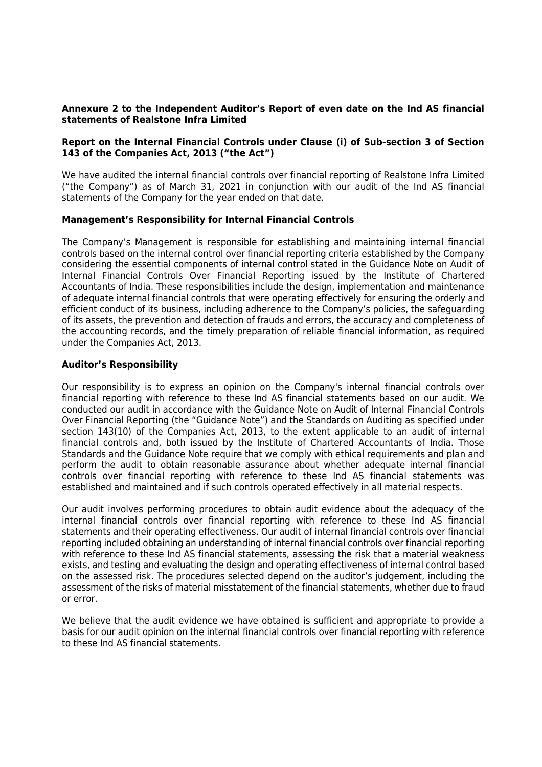### Annexure 2 to the Independent Auditor's Report of even date on the Ind AS financial statements of Realstone Infra Limited

### Report on the Internal Financial Controls under Clause (i) of Sub-section 3 of Section 143 of the Companies Act, 2013 ("the Act")

We have audited the internal financial controls over financial reporting of Realstone Infra Limited ("the Company") as of March 31, 2021 in conjunction with our audit of the Ind AS financial statements of the Company for the year ended on that date.

### **Management's Responsibility for Internal Financial Controls**

The Company's Management is responsible for establishing and maintaining internal financial controls based on the internal control over financial reporting criteria established by the Company considering the essential components of internal control stated in the Guidance Note on Audit of Internal Financial Controls Over Financial Reporting issued by the Institute of Chartered Accountants of India. These responsibilities include the design, implementation and maintenance of adequate internal financial controls that were operating effectively for ensuring the orderly and efficient conduct of its business, including adherence to the Company's policies, the safeguarding of its assets, the prevention and detection of frauds and errors, the accuracy and completeness of the accounting records, and the timely preparation of reliable financial information, as required under the Companies Act. 2013.

### **Auditor's Responsibility**

Our responsibility is to express an opinion on the Company's internal financial controls over financial reporting with reference to these Ind AS financial statements based on our audit. We conducted our audit in accordance with the Guidance Note on Audit of Internal Financial Controls Over Financial Reporting (the "Guidance Note") and the Standards on Auditing as specified under section 143(10) of the Companies Act, 2013, to the extent applicable to an audit of internal financial controls and, both issued by the Institute of Chartered Accountants of India. Those Standards and the Guidance Note require that we comply with ethical requirements and plan and perform the audit to obtain reasonable assurance about whether adequate internal financial controls over financial reporting with reference to these Ind AS financial statements was established and maintained and if such controls operated effectively in all material respects.

Our audit involves performing procedures to obtain audit evidence about the adequacy of the internal financial controls over financial reporting with reference to these Ind AS financial statements and their operating effectiveness. Our audit of internal financial controls over financial reporting included obtaining an understanding of internal financial controls over financial reporting with reference to these Ind AS financial statements, assessing the risk that a material weakness exists, and testing and evaluating the design and operating effectiveness of internal control based on the assessed risk. The procedures selected depend on the auditor's judgement, including the assessment of the risks of material misstatement of the financial statements, whether due to fraud or error.

We believe that the audit evidence we have obtained is sufficient and appropriate to provide a basis for our audit opinion on the internal financial controls over financial reporting with reference to these Ind AS financial statements.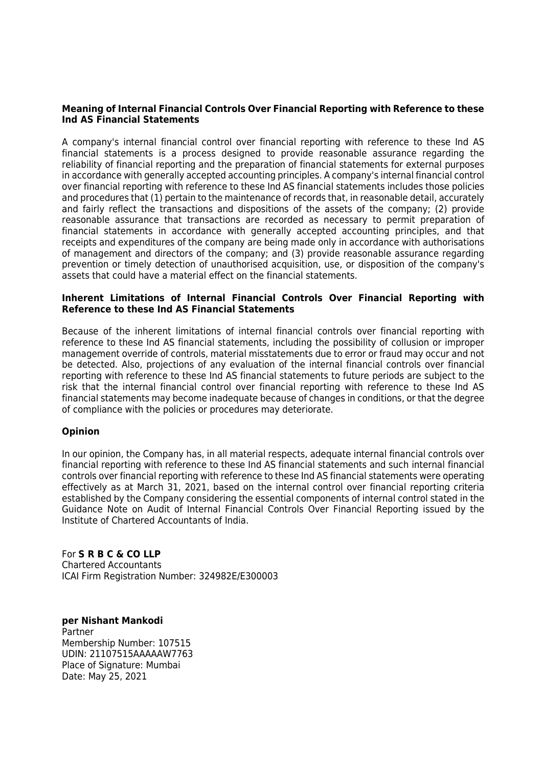### Meaning of Internal Financial Controls Over Financial Reporting with Reference to these **Ind AS Financial Statements**

A company's internal financial control over financial reporting with reference to these Ind AS financial statements is a process designed to provide reasonable assurance regarding the reliability of financial reporting and the preparation of financial statements for external purposes in accordance with generally accepted accounting principles. A company's internal financial control over financial reporting with reference to these Ind AS financial statements includes those policies and procedures that (1) pertain to the maintenance of records that, in reasonable detail, accurately and fairly reflect the transactions and dispositions of the assets of the company; (2) provide reasonable assurance that transactions are recorded as necessary to permit preparation of financial statements in accordance with generally accepted accounting principles, and that receipts and expenditures of the company are being made only in accordance with authorisations of management and directors of the company; and (3) provide reasonable assurance regarding prevention or timely detection of unauthorised acquisition, use, or disposition of the company's assets that could have a material effect on the financial statements.

### Inherent Limitations of Internal Financial Controls Over Financial Reporting with Reference to these Ind AS Financial Statements

Because of the inherent limitations of internal financial controls over financial reporting with reference to these Ind AS financial statements, including the possibility of collusion or improper management override of controls, material misstatements due to error or fraud may occur and not be detected. Also, projections of any evaluation of the internal financial controls over financial reporting with reference to these Ind AS financial statements to future periods are subject to the risk that the internal financial control over financial reporting with reference to these Ind AS financial statements may become inadequate because of changes in conditions, or that the degree of compliance with the policies or procedures may deteriorate.

### **Opinion**

In our opinion, the Company has, in all material respects, adequate internal financial controls over financial reporting with reference to these Ind AS financial statements and such internal financial controls over financial reporting with reference to these Ind AS financial statements were operating effectively as at March 31, 2021, based on the internal control over financial reporting criteria established by the Company considering the essential components of internal control stated in the Guidance Note on Audit of Internal Financial Controls Over Financial Reporting issued by the Institute of Chartered Accountants of India.

## For S R B C & CO LLP

**Chartered Accountants** ICAI Firm Registration Number: 324982E/E300003

per Nishant Mankodi Partner Membership Number: 107515 UDIN: 21107515AAAAAW7763 Place of Signature: Mumbai Date: May 25, 2021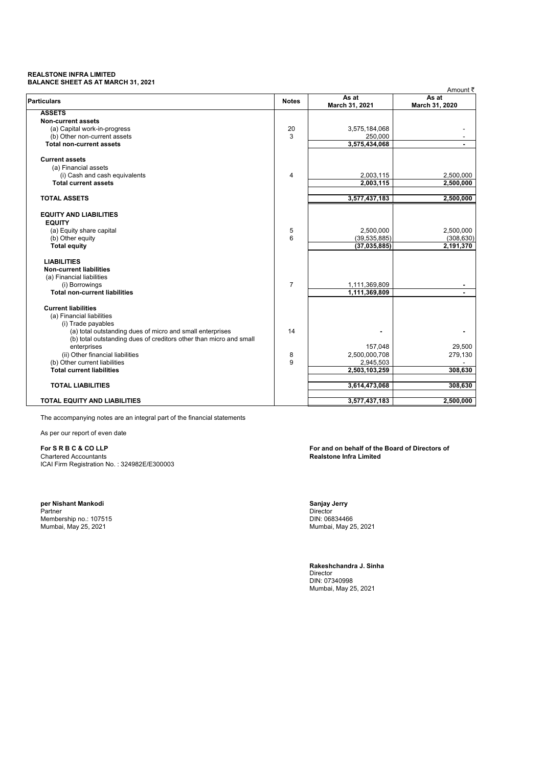#### **REALSTONE INFRA LIMITED BALANCE SHEET AS AT MARCH 31, 2021**

| <b>DALANGE ONEER AS AT MARGH</b>                                   |                |                         | Amount ₹                |
|--------------------------------------------------------------------|----------------|-------------------------|-------------------------|
| Particulars                                                        | <b>Notes</b>   | As at<br>March 31, 2021 | As at<br>March 31, 2020 |
| <b>ASSETS</b>                                                      |                |                         |                         |
| <b>Non-current assets</b>                                          |                |                         |                         |
| (a) Capital work-in-progress                                       | 20             | 3,575,184,068           |                         |
| (b) Other non-current assets                                       | 3              | 250,000                 |                         |
| <b>Total non-current assets</b>                                    |                | 3,575,434,068           |                         |
| <b>Current assets</b>                                              |                |                         |                         |
| (a) Financial assets                                               |                |                         |                         |
| (i) Cash and cash equivalents                                      | 4              | 2,003,115               | 2,500,000               |
| <b>Total current assets</b>                                        |                | 2,003,115               | 2,500,000               |
| <b>TOTAL ASSETS</b>                                                |                | 3,577,437,183           | 2,500,000               |
| <b>EQUITY AND LIABILITIES</b>                                      |                |                         |                         |
| <b>EQUITY</b>                                                      |                |                         |                         |
| (a) Equity share capital                                           | 5              | 2,500,000               | 2,500,000               |
| (b) Other equity                                                   | 6              | (39, 535, 885)          | (308, 630)              |
| <b>Total equity</b>                                                |                | (37,035,885)            | 2,191,370               |
| <b>LIABILITIES</b>                                                 |                |                         |                         |
| <b>Non-current liabilities</b>                                     |                |                         |                         |
| (a) Financial liabilities                                          |                |                         |                         |
| (i) Borrowings                                                     | $\overline{7}$ | 1,111,369,809           |                         |
| <b>Total non-current liabilities</b>                               |                | 1,111,369,809           |                         |
| <b>Current liabilities</b>                                         |                |                         |                         |
| (a) Financial liabilities                                          |                |                         |                         |
| (i) Trade payables                                                 |                |                         |                         |
| (a) total outstanding dues of micro and small enterprises          | 14             |                         |                         |
| (b) total outstanding dues of creditors other than micro and small |                |                         |                         |
| enterprises                                                        |                | 157,048                 | 29,500                  |
| (ii) Other financial liabilities                                   | 8              | 2,500,000,708           | 279,130                 |
| (b) Other current liabilities                                      | 9              | 2,945,503               |                         |
| <b>Total current liabilities</b>                                   |                | 2,503,103,259           | 308,630                 |
| <b>TOTAL LIABILITIES</b>                                           |                | 3,614,473,068           | 308,630                 |
|                                                                    |                |                         |                         |
| <b>TOTAL EQUITY AND LIABILITIES</b>                                |                | 3,577,437,183           | 2,500,000               |

The accompanying notes are an integral part of the financial statements

As per our report of even date

Chartered Accountants **Realstone Infra Limited** ICAI Firm Registration No. : 324982E/E300003

**per Nishant Mankodi Sanjay Jerry** Partner Director Communication and the communication of the communication of the Director Membership no.: 107515<br>Mumbai, May 25, 2021

**For S R B C & CO LLP For and on behalf of the Board of Directors of** 

Mumbai, May 25, 2021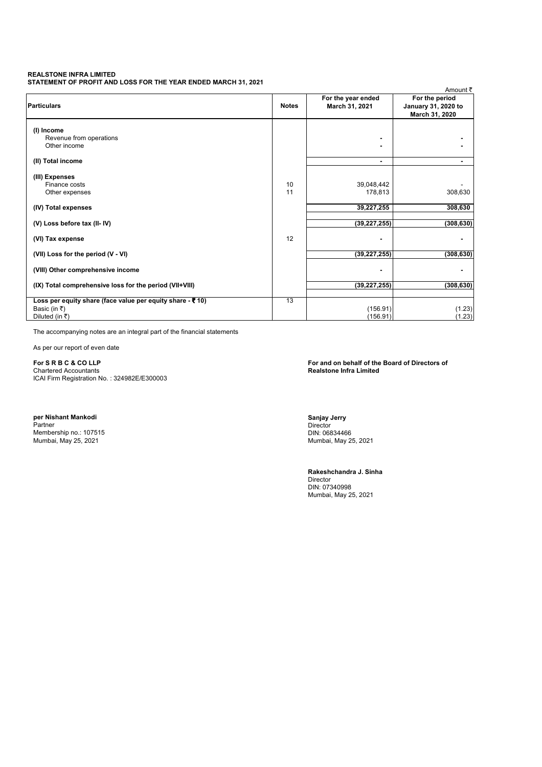### **REALSTONE INFRA LIMITED**

**STATEMENT OF PROFIT AND LOSS FOR THE YEAR ENDED MARCH 31, 2021**

|                                                             |                 |                                      | Amount ₹                                                |
|-------------------------------------------------------------|-----------------|--------------------------------------|---------------------------------------------------------|
| <b>Particulars</b>                                          | <b>Notes</b>    | For the year ended<br>March 31, 2021 | For the period<br>January 31, 2020 to<br>March 31, 2020 |
| (I) Income<br>Revenue from operations                       |                 |                                      |                                                         |
| Other income                                                |                 |                                      |                                                         |
| (II) Total income                                           |                 |                                      |                                                         |
| (III) Expenses                                              |                 |                                      |                                                         |
| Finance costs                                               | 10              | 39,048,442                           |                                                         |
| Other expenses                                              | 11              | 178,813                              | 308,630                                                 |
| (IV) Total expenses                                         |                 | 39,227,255                           | 308,630                                                 |
| (V) Loss before tax (II- IV)                                |                 | (39, 227, 255)                       | (308, 630)                                              |
| (VI) Tax expense                                            | 12              |                                      |                                                         |
| (VII) Loss for the period (V - VI)                          |                 | (39, 227, 255)                       | (308, 630)                                              |
| (VIII) Other comprehensive income                           |                 |                                      |                                                         |
| (IX) Total comprehensive loss for the period (VII+VIII)     |                 | (39, 227, 255)                       | (308, 630)                                              |
| Loss per equity share (face value per equity share $-$ ₹10) | $\overline{13}$ |                                      |                                                         |
| Basic (in ₹)                                                |                 | (156.91)                             | (1.23)                                                  |
| Diluted (in ₹)                                              |                 | (156.91)                             | (1.23)                                                  |

The accompanying notes are an integral part of the financial statements

As per our report of even date

ICAI Firm Registration No. : 324982E/E300003

**per Nishant Mankodi Sanjay Jerry** Partner Director Communication of the Communication of the Communication of the Director Membership no.: 107515 DIN: 06834466

**For S R B C & CO LLP For and on behalf of the Board of Directors of Chartered Accountants**<br> **For and on behalf of the Board of Directors of**<br> **Realstone Infra Limited Realstone Infra Limited** 

Mumbai, May 25, 2021 Mumbai, May 25, 2021

**Rakeshchandra J. Sinha**

Director DIN: 07340998 Mumbai, May 25, 2021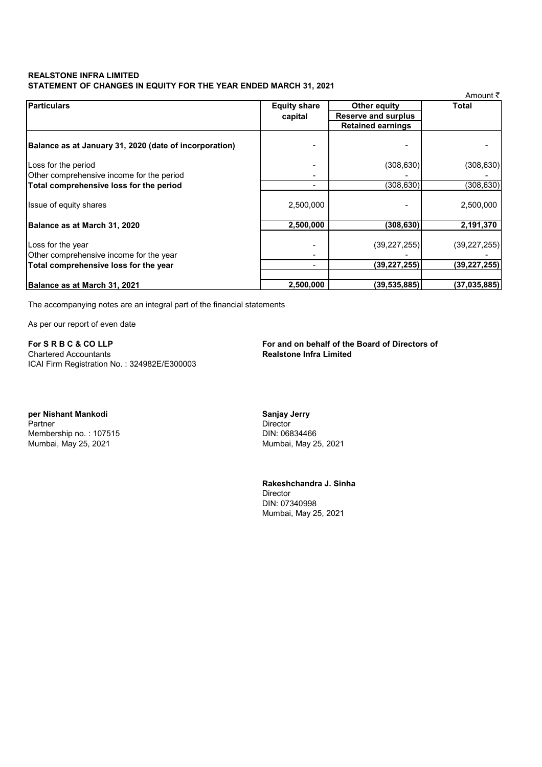### **REALSTONE INFRA LIMITED STATEMENT OF CHANGES IN EQUITY FOR THE YEAR ENDED MARCH 31, 2021**

|                                                              |                     |                          | Amount ₹       |
|--------------------------------------------------------------|---------------------|--------------------------|----------------|
| <b>Particulars</b>                                           | <b>Equity share</b> | Other equity             | <b>Total</b>   |
|                                                              | capital             | Reserve and surplus      |                |
|                                                              |                     | <b>Retained earnings</b> |                |
| Balance as at January 31, 2020 (date of incorporation)       |                     |                          |                |
| Loss for the period                                          |                     | (308, 630)               | (308, 630)     |
| Other comprehensive income for the period                    |                     |                          |                |
| Total comprehensive loss for the period                      |                     | (308, 630)               | (308, 630)     |
| Issue of equity shares                                       | 2,500,000           |                          | 2,500,000      |
| Balance as at March 31, 2020                                 | 2,500,000           | (308,630)                | 2,191,370      |
| Loss for the year<br>Other comprehensive income for the year |                     | (39, 227, 255)           | (39, 227, 255) |
| Total comprehensive loss for the year                        |                     | (39, 227, 255)           | (39, 227, 255) |
| Balance as at March 31, 2021                                 | 2,500,000           | (39, 535, 885)           | (37, 035, 885) |

The accompanying notes are an integral part of the financial statements

As per our report of even date

**Chartered Accountants** ICAI Firm Registration No. : 324982E/E300003

# **For S R B C & CO LLP For and on behalf of the Board of Directors of Chartered Accountants For and S Realstone Infra Limited**

**per Nishant Mankodi Sanjay Jerry**<br> **Partner Director** Membership no. : 107515<br>Mumbai, May 25, 2021

Director<br>DIN: 06834466 Mumbai, May 25, 2021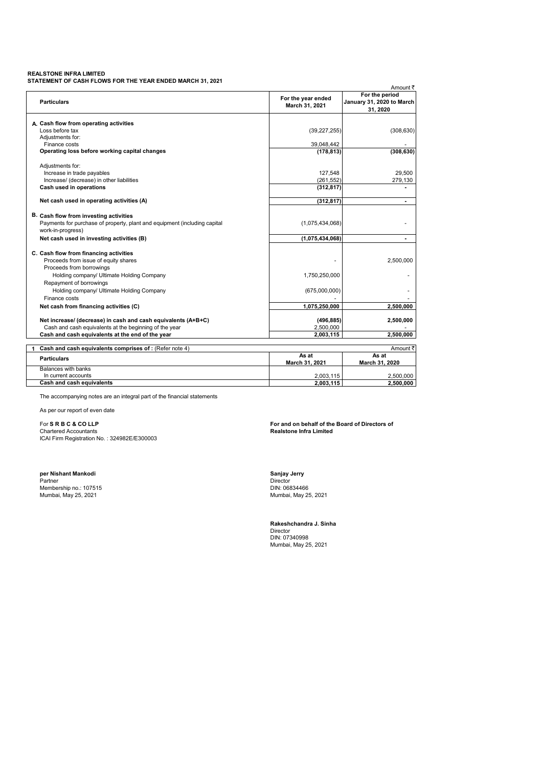**REALSTONE INFRA LIMITED STATEMENT OF CASH FLOWS FOR THE YEAR ENDED MARCH 31, 2021**

| <b>Particulars</b>                                                                             | For the year ended<br>March 31, 2021 | Amount ₹<br>For the period<br>January 31, 2020 to March<br>31, 2020 |
|------------------------------------------------------------------------------------------------|--------------------------------------|---------------------------------------------------------------------|
| A. Cash flow from operating activities                                                         |                                      |                                                                     |
| Loss before tax                                                                                | (39, 227, 255)                       | (308, 630)                                                          |
| Adjustments for:                                                                               |                                      |                                                                     |
| Finance costs                                                                                  | 39,048,442                           |                                                                     |
| Operating loss before working capital changes                                                  | (178, 813)                           | (308, 630)                                                          |
| Adjustments for:                                                                               |                                      |                                                                     |
| Increase in trade payables                                                                     | 127,548                              | 29,500                                                              |
| Increase/ (decrease) in other liabilities                                                      | (261, 552)                           | 279,130                                                             |
| Cash used in operations                                                                        | (312, 817)                           |                                                                     |
| Net cash used in operating activities (A)                                                      | (312, 817)                           |                                                                     |
| B. Cash flow from investing activities                                                         |                                      |                                                                     |
| Payments for purchase of property, plant and equipment (including capital<br>work-in-progress) | (1,075,434,068)                      |                                                                     |
| Net cash used in investing activities (B)                                                      | (1,075,434,068)                      |                                                                     |
| C. Cash flow from financing activities                                                         |                                      |                                                                     |
| Proceeds from issue of equity shares                                                           |                                      | 2,500,000                                                           |
| Proceeds from borrowings                                                                       |                                      |                                                                     |
| Holding company/ Ultimate Holding Company                                                      | 1,750,250,000                        |                                                                     |
| Repayment of borrowings                                                                        |                                      |                                                                     |
| Holding company/ Ultimate Holding Company                                                      | (675,000,000)                        |                                                                     |
| Finance costs                                                                                  |                                      |                                                                     |
| Net cash from financing activities (C)                                                         | 1,075,250,000                        | 2,500,000                                                           |
| Net increase/ (decrease) in cash and cash equivalents (A+B+C)                                  | (496, 885)                           | 2,500,000                                                           |
| Cash and cash equivalents at the beginning of the year                                         | 2,500,000                            |                                                                     |
| Cash and cash equivalents at the end of the year                                               | 2,003,115                            | 2,500,000                                                           |
| Cash and cash equivalents comprises of: (Refer note 4)                                         |                                      | Amount ₹                                                            |

| <b>PROFINING VASILYMINING VOITING VOTE TENNING TH</b> |                         |                         |
|-------------------------------------------------------|-------------------------|-------------------------|
| <b>Particulars</b>                                    | As at<br>March 31, 2021 | As at<br>March 31, 2020 |
| Balances with banks                                   |                         |                         |
| In current accounts                                   | 2,003,115               | 2.500.000               |
| <b>Cash and cash equivalents</b>                      | 2,003,115               | 2.500.000               |

The accompanying notes are an integral part of the financial statements

As per our report of even date

Chartered Accountants **Realstone Infra Limited** ICAI Firm Registration No. : 324982E/E300003

Membership no.: 107515 DIN: 06834466 Mumbai, May 25, 2021 Mumbai, May 25, 2021

For **S R B C & CO LLP For and on behalf of the Board of Directors of**

**per Nishant Mankodi Sanjay Jerry** Partner Director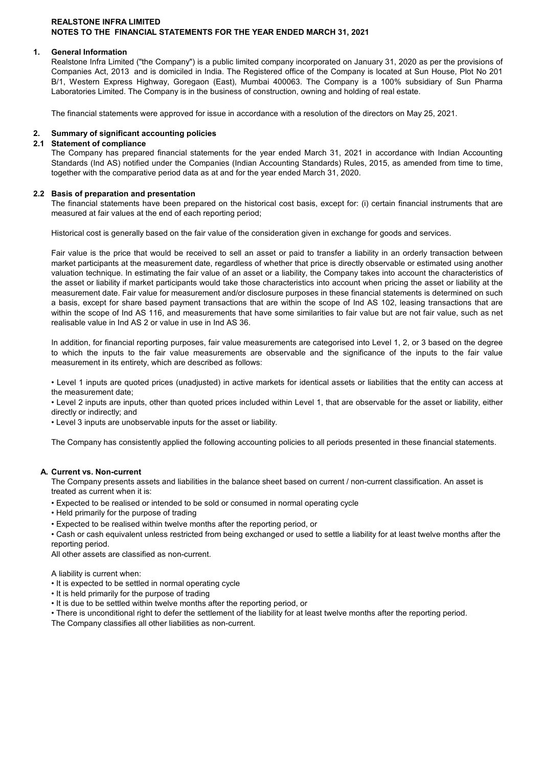### **1. General Information**

Realstone Infra Limited ("the Company") is a public limited company incorporated on January 31, 2020 as per the provisions of Companies Act, 2013 and is domiciled in India. The Registered office of the Company is located at Sun House, Plot No 201 B/1, Western Express Highway, Goregaon (East), Mumbai 400063. The Company is a 100% subsidiary of Sun Pharma Laboratories Limited. The Company is in the business of construction, owning and holding of real estate.

The financial statements were approved for issue in accordance with a resolution of the directors on May 25, 2021.

### **2. Summary of significant accounting policies**

### **2.1 Statement of compliance**

The Company has prepared financial statements for the year ended March 31, 2021 in accordance with Indian Accounting Standards (Ind AS) notified under the Companies (Indian Accounting Standards) Rules, 2015, as amended from time to time, together with the comparative period data as at and for the year ended March 31, 2020.

### **2.2 Basis of preparation and presentation**

The financial statements have been prepared on the historical cost basis, except for: (i) certain financial instruments that are measured at fair values at the end of each reporting period;

Historical cost is generally based on the fair value of the consideration given in exchange for goods and services.

Fair value is the price that would be received to sell an asset or paid to transfer a liability in an orderly transaction between market participants at the measurement date, regardless of whether that price is directly observable or estimated using another valuation technique. In estimating the fair value of an asset or a liability, the Company takes into account the characteristics of the asset or liability if market participants would take those characteristics into account when pricing the asset or liability at the measurement date. Fair value for measurement and/or disclosure purposes in these financial statements is determined on such a basis, except for share based payment transactions that are within the scope of Ind AS 102, leasing transactions that are within the scope of Ind AS 116, and measurements that have some similarities to fair value but are not fair value, such as net realisable value in Ind AS 2 or value in use in Ind AS 36.

In addition, for financial reporting purposes, fair value measurements are categorised into Level 1, 2, or 3 based on the degree to which the inputs to the fair value measurements are observable and the significance of the inputs to the fair value measurement in its entirety, which are described as follows:

• Level 1 inputs are quoted prices (unadjusted) in active markets for identical assets or liabilities that the entity can access at the measurement date;

• Level 2 inputs are inputs, other than quoted prices included within Level 1, that are observable for the asset or liability, either directly or indirectly; and

• Level 3 inputs are unobservable inputs for the asset or liability.

The Company has consistently applied the following accounting policies to all periods presented in these financial statements.

### **A. Current vs. Non-current**

The Company presents assets and liabilities in the balance sheet based on current / non-current classification. An asset is treated as current when it is:

- Expected to be realised or intended to be sold or consumed in normal operating cycle
- Held primarily for the purpose of trading
- Expected to be realised within twelve months after the reporting period, or

• Cash or cash equivalent unless restricted from being exchanged or used to settle a liability for at least twelve months after the reporting period.

All other assets are classified as non-current.

A liability is current when:

- It is expected to be settled in normal operating cycle
- It is held primarily for the purpose of trading
- It is due to be settled within twelve months after the reporting period, or

• There is unconditional right to defer the settlement of the liability for at least twelve months after the reporting period.

The Company classifies all other liabilities as non-current.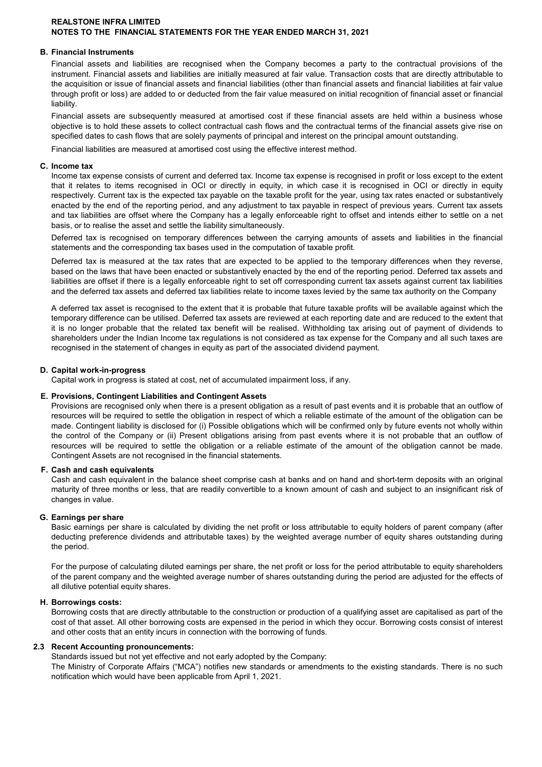### **B. Financial Instruments**

Financial assets and liabilities are recognised when the Company becomes a party to the contractual provisions of the instrument. Financial assets and liabilities are initially measured at fair value. Transaction costs that are directly attributable to the acquisition or issue of financial assets and financial liabilities (other than financial assets and financial liabilities at fair value through profit or loss) are added to or deducted from the fair value measured on initial recognition of financial asset or financial liability.

Financial assets are subsequently measured at amortised cost if these financial assets are held within a business whose objective is to hold these assets to collect contractual cash flows and the contractual terms of the financial assets give rise on specified dates to cash flows that are solely payments of principal and interest on the principal amount outstanding.

Financial liabilities are measured at amortised cost using the effective interest method.

### **C. Income tax**

Income tax expense consists of current and deferred tax. Income tax expense is recognised in profit or loss except to the extent that it relates to items recognised in OCI or directly in equity, in which case it is recognised in OCI or directly in equity respectively. Current tax is the expected tax payable on the taxable profit for the year, using tax rates enacted or substantively enacted by the end of the reporting period, and any adjustment to tax payable in respect of previous years. Current tax assets and tax liabilities are offset where the Company has a legally enforceable right to offset and intends either to settle on a net basis, or to realise the asset and settle the liability simultaneously.

Deferred tax is recognised on temporary differences between the carrying amounts of assets and liabilities in the financial statements and the corresponding tax bases used in the computation of taxable profit.

Deferred tax is measured at the tax rates that are expected to be applied to the temporary differences when they reverse, based on the laws that have been enacted or substantively enacted by the end of the reporting period. Deferred tax assets and liabilities are offset if there is a legally enforceable right to set off corresponding current tax assets against current tax liabilities and the deferred tax assets and deferred tax liabilities relate to income taxes levied by the same tax authority on the Company

A deferred tax asset is recognised to the extent that it is probable that future taxable profits will be available against which the temporary difference can be utilised. Deferred tax assets are reviewed at each reporting date and are reduced to the extent that it is no longer probable that the related tax benefit will be realised. Withholding tax arising out of payment of dividends to shareholders under the Indian Income tax regulations is not considered as tax expense for the Company and all such taxes are recognised in the statement of changes in equity as part of the associated dividend payment.

### **D. Capital work-in-progress**

Capital work in progress is stated at cost, net of accumulated impairment loss, if any.

### **E. Provisions, Contingent Liabilities and Contingent Assets**

Provisions are recognised only when there is a present obligation as a result of past events and it is probable that an outflow of resources will be required to settle the obligation in respect of which a reliable estimate of the amount of the obligation can be made. Contingent liability is disclosed for (i) Possible obligations which will be confirmed only by future events not wholly within the control of the Company or (ii) Present obligations arising from past events where it is not probable that an outflow of resources will be required to settle the obligation or a reliable estimate of the amount of the obligation cannot be made. Contingent Assets are not recognised in the financial statements.

### **F. Cash and cash equivalents**

Cash and cash equivalent in the balance sheet comprise cash at banks and on hand and short-term deposits with an original maturity of three months or less, that are readily convertible to a known amount of cash and subject to an insignificant risk of changes in value.

### **G. Earnings per share**

Basic earnings per share is calculated by dividing the net profit or loss attributable to equity holders of parent company (after deducting preference dividends and attributable taxes) by the weighted average number of equity shares outstanding during the period.

For the purpose of calculating diluted earnings per share, the net profit or loss for the period attributable to equity shareholders of the parent company and the weighted average number of shares outstanding during the period are adjusted for the effects of all dilutive potential equity shares.

#### **H. Borrowings costs:**

Borrowing costs that are directly attributable to the construction or production of a qualifying asset are capitalised as part of the cost of that asset. All other borrowing costs are expensed in the period in which they occur. Borrowing costs consist of interest and other costs that an entity incurs in connection with the borrowing of funds.

### **2.3 Recent Accounting pronouncements:**

Standards issued but not yet effective and not early adopted by the Company:

The Ministry of Corporate Affairs ("MCA") notifies new standards or amendments to the existing standards. There is no such notification which would have been applicable from April 1, 2021.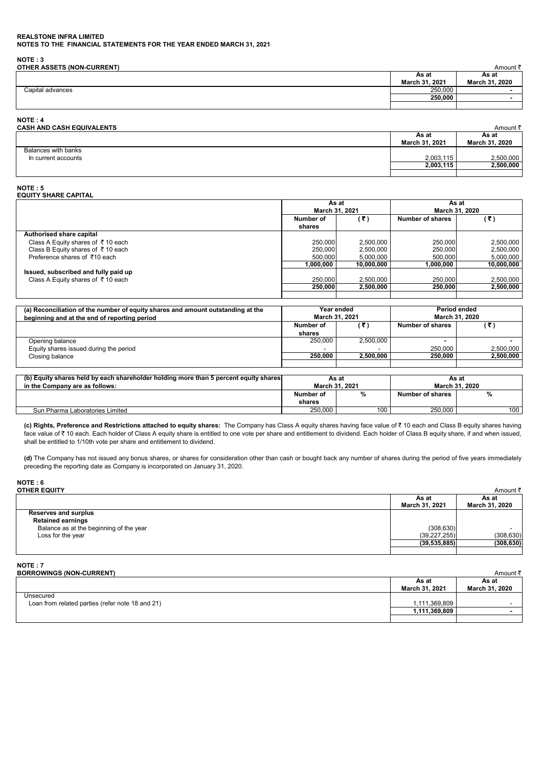## **REALSTONE INFRA LIMITED**

**NOTES TO THE FINANCIAL STATEMENTS FOR THE YEAR ENDED MARCH 31, 2021**

### **NOTE : 3**

| OTHER ASSETS (NON-CURRENT) |                | Amount ₹       |
|----------------------------|----------------|----------------|
|                            | As at          | As at          |
|                            | March 31, 2021 | March 31, 2020 |
| Capital advances           | 250.000        |                |
|                            | 250.000        |                |
|                            |                |                |

### **NOTE : 4**

| <b>CASH AND CASH EQUIVALENTS</b> |                | Amount ₹       |
|----------------------------------|----------------|----------------|
|                                  | As at          | As at          |
|                                  | March 31, 2021 | March 31, 2020 |
| Balances with banks              |                |                |
| In current accounts              | 2.003.115      | 2.500.000      |
|                                  | 2,003,115      | 2,500,000      |
|                                  |                |                |

#### **NOTE : 5**

| <b>EQUITY SHARE CAPITAL</b>          |           |                |                  |                |  |
|--------------------------------------|-----------|----------------|------------------|----------------|--|
|                                      |           | As at          |                  | As at          |  |
|                                      |           | March 31, 2021 |                  | March 31, 2020 |  |
|                                      | Number of | (₹)            | Number of shares | (₹)            |  |
|                                      | shares    |                |                  |                |  |
| Authorised share capital             |           |                |                  |                |  |
| Class A Equity shares of ₹10 each    | 250,000   | 2,500,000      | 250,000          | 2,500,000      |  |
| Class B Equity shares of ₹10 each    | 250,000   | 2.500.000      | 250,000          | 2,500,000      |  |
| Preference shares of ₹10 each        | 500.000   | 5.000.000      | 500.000          | 5,000,000      |  |
|                                      | 1.000.000 | 10,000,000     | 1,000,000        | 10,000,000     |  |
| Issued, subscribed and fully paid up |           |                |                  |                |  |
| Class A Equity shares of ₹10 each    | 250,000   | 2,500,000      | 250,000          | 2,500,000      |  |
|                                      | 250,000   | 2,500,000      | 250,000          | 2,500,000      |  |
|                                      |           |                |                  |                |  |

| (a) Reconciliation of the number of equity shares and amount outstanding at the<br>beginning and at the end of reporting period | Year ended<br>March 31, 2021 |           | Period ended<br>March 31, 2020 |           |
|---------------------------------------------------------------------------------------------------------------------------------|------------------------------|-----------|--------------------------------|-----------|
|                                                                                                                                 | Number of                    |           | Number of shares               | [₹]       |
|                                                                                                                                 | shares                       |           |                                |           |
| Opening balance                                                                                                                 | 250,000                      | 2,500,000 |                                |           |
| Equity shares issued during the period                                                                                          |                              | -         | 250.000                        | 2,500,000 |
| Closing balance                                                                                                                 | 250.000                      | 2.500.000 | 250.000                        | 2,500,000 |
|                                                                                                                                 |                              |           |                                |           |

| (b) Equity shares held by each shareholder holding more than 5 percent equity shares<br>in the Company are as follows: | March 31, 2021 | As at | As at<br>March 31, 2020 |     |
|------------------------------------------------------------------------------------------------------------------------|----------------|-------|-------------------------|-----|
|                                                                                                                        | Number of      |       | Number of shares        | %   |
|                                                                                                                        | shares         |       |                         |     |
| Sun Pharma Laboratories Limited                                                                                        | 250,000        | 100   | 250,000                 | 100 |

**(c) Rights, Preference and Restrictions attached to equity shares:** The Company has Class A equity shares having face value of 10 each and Class B equity shares having face value of ₹ 10 each. Each holder of Class A equity share is entitled to one vote per share and entitlement to dividend. Each holder of Class B equity share, if and when issued, shall be entitled to 1/10th vote per share and entitlement to dividend.

**(d)** The Company has not issued any bonus shares, or shares for consideration other than cash or bought back any number of shares during the period of five years immediately preceding the reporting date as Company is incorporated on January 31, 2020.

| <b>NOTE : 6</b>    |  |
|--------------------|--|
| <b>OTHER EQUIT</b> |  |

| <b>OTHER EQUITY</b>                     |                | Amount ₹       |
|-----------------------------------------|----------------|----------------|
|                                         | As at          | As at          |
|                                         | March 31, 2021 | March 31, 2020 |
| <b>Reserves and surplus</b>             |                |                |
| <b>Retained earnings</b>                |                |                |
| Balance as at the beginning of the year | (308, 630)     |                |
| Loss for the year                       | (39, 227, 255) | (308, 630)     |
|                                         | (39, 535, 885) | (308, 630)     |
|                                         |                |                |

### **NOTE : 7**

| <b>BORROWINGS (NON-CURRENT)</b>                  |                | Amount ₹       |
|--------------------------------------------------|----------------|----------------|
|                                                  | As at          | As at          |
|                                                  | March 31, 2021 | March 31, 2020 |
| Unsecured                                        |                |                |
| Loan from related parties (refer note 18 and 21) | 1,111,369,809  |                |
|                                                  | 1.111.369.809  |                |
|                                                  |                |                |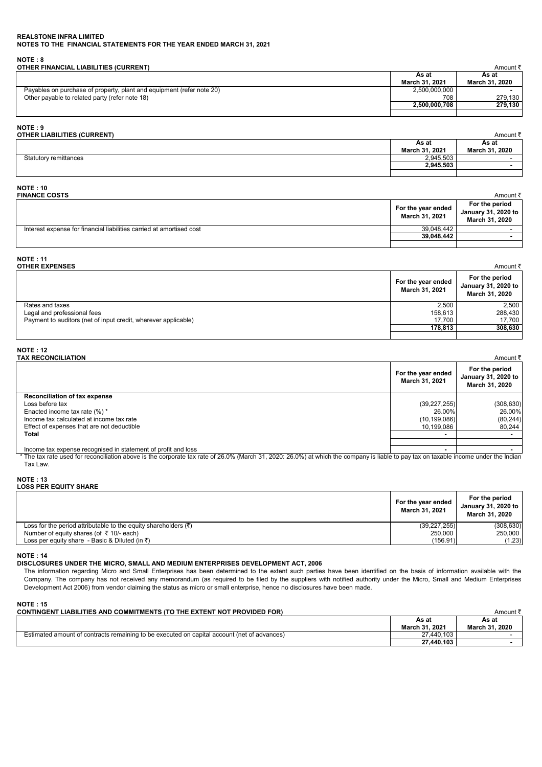#### **NOTE : 8**

| OTHER FINANCIAL LIABILITIES (CURRENT)                                 |                | Amount ₹       |
|-----------------------------------------------------------------------|----------------|----------------|
|                                                                       | As at          | As at          |
|                                                                       | March 31, 2021 | March 31, 2020 |
| Payables on purchase of property, plant and equipment (refer note 20) | 2,500,000,000  |                |
| Other payable to related party (refer note 18)                        | 708            | 279.130        |
|                                                                       | 2.500.000.708  | 279.130        |
|                                                                       |                |                |

#### **NOTE : 9**

| OTHER LIABILITIES (CURRENT) |                | Amount ₹       |
|-----------------------------|----------------|----------------|
|                             | As at          | As at          |
|                             | March 31, 2021 | March 31, 2020 |
| Statutory remittances       | 2.945.503      |                |
|                             | 2,945,503      |                |
|                             |                |                |

### **NOTE : 10**

| <b>FINANCE COSTS</b>                                                 |                                      | Amount ₹                                                |
|----------------------------------------------------------------------|--------------------------------------|---------------------------------------------------------|
|                                                                      | For the year ended<br>March 31, 2021 | For the period<br>January 31, 2020 to<br>March 31, 2020 |
| Interest expense for financial liabilities carried at amortised cost | 39.048.442                           |                                                         |
|                                                                      | 39.048.442                           |                                                         |
|                                                                      |                                      |                                                         |

### **NOTE : 11**

| <b>OTHER EXPENSES</b>                                          |                                      | Amount ₹                                                |
|----------------------------------------------------------------|--------------------------------------|---------------------------------------------------------|
|                                                                | For the year ended<br>March 31, 2021 | For the period<br>January 31, 2020 to<br>March 31, 2020 |
| Rates and taxes                                                | 2.500                                | 2,500                                                   |
| Legal and professional fees                                    | 158,613                              | 288,430                                                 |
| Payment to auditors (net of input credit, wherever applicable) | 17.700                               | 17,700                                                  |
|                                                                | 178,813                              | 308,630                                                 |
|                                                                |                                      |                                                         |

### **NOTE : 12**

| <b>TAX RECONCILIATION</b>                                     |                                      | Amount ₹                                                |
|---------------------------------------------------------------|--------------------------------------|---------------------------------------------------------|
|                                                               | For the year ended<br>March 31, 2021 | For the period<br>January 31, 2020 to<br>March 31, 2020 |
| Reconciliation of tax expense                                 |                                      |                                                         |
| Loss before tax                                               | (39, 227, 255)                       | (308, 630)                                              |
| Enacted income tax rate (%) *                                 | 26.00%                               | 26.00%                                                  |
| Income tax calculated at income tax rate                      | (10, 199, 086)                       | (80, 244)                                               |
| Effect of expenses that are not deductible                    | 10,199,086                           | 80,244                                                  |
| <b>Total</b>                                                  |                                      |                                                         |
|                                                               |                                      |                                                         |
| Income tax expense recognised in statement of profit and loss |                                      |                                                         |

\* The tax rate used for reconciliation above is the corporate tax rate of 26.0% (March 31, 2020: 26.0%) at which the company is liable to pay tax on taxable income under the Indian Tax Law.

#### **NOTE : 13**

#### **LOSS PER EQUITY SHARE**

|                                                                             | For the year ended<br>March 31, 2021 | For the period<br>January 31, 2020 to<br>March 31, 2020 |
|-----------------------------------------------------------------------------|--------------------------------------|---------------------------------------------------------|
| Loss for the period attributable to the equity shareholders $(\bar{\zeta})$ | (39, 227, 255)                       | (308, 630)                                              |
| Number of equity shares (of $\bar{\tau}$ 10/- each)                         | 250,000                              | 250,000                                                 |
| Loss per equity share - Basic & Diluted (in $\bar{\tau}$ )                  | (156.91)                             | (1.23)                                                  |

#### **NOTE : 14**

### **DISCLOSURES UNDER THE MICRO, SMALL AND MEDIUM ENTERPRISES DEVELOPMENT ACT, 2006**

The information regarding Micro and Small Enterprises has been determined to the extent such parties have been identified on the basis of information available with the Company. The company has not received any memorandum (as required to be filed by the suppliers with notified authority under the Micro, Small and Medium Enterprises Development Act 2006) from vendor claiming the status as micro or small enterprise, hence no disclosures have been made.

### **NOTE : 15**

| <b>CONTINGENT LIABILITIES AND COMMITMENTS (TO THE EXTENT NOT PROVIDED FOR)</b>              |                | Amount ₹       |
|---------------------------------------------------------------------------------------------|----------------|----------------|
|                                                                                             | As at          | As at          |
|                                                                                             | March 31, 2021 | March 31, 2020 |
| Estimated amount of contracts remaining to be executed on capital account (net of advances) | 27.440.103     |                |
|                                                                                             | 27.440.103     |                |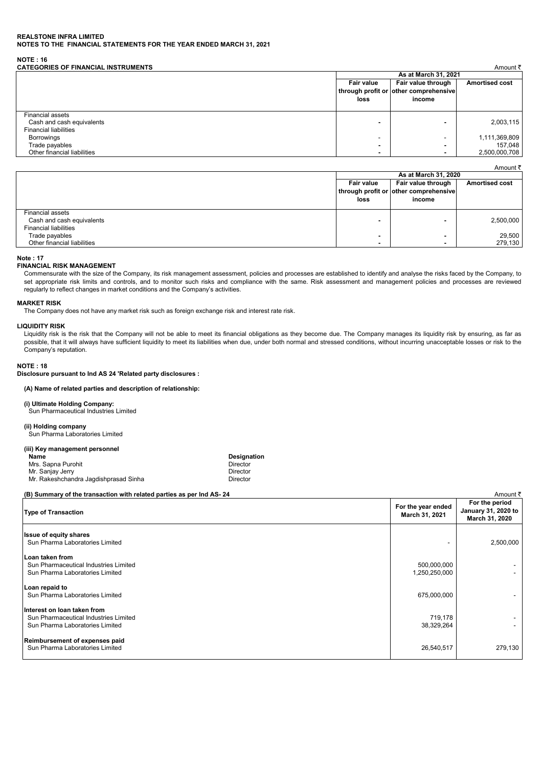### **REALSTONE INFRA LIMITED**

**NOTES TO THE FINANCIAL STATEMENTS FOR THE YEAR ENDED MARCH 31, 2021**

### **NOTE : 16**

| <b>CATEGORIES OF FINANCIAL INSTRUMENTS</b>                                    |                           |                                                                       | Amount ₹                                  |  |
|-------------------------------------------------------------------------------|---------------------------|-----------------------------------------------------------------------|-------------------------------------------|--|
|                                                                               |                           | As at March 31, 2021                                                  |                                           |  |
|                                                                               | <b>Fair value</b><br>loss | Fair value through<br>through profit or other comprehensive<br>income | <b>Amortised cost</b>                     |  |
| Financial assets<br>Cash and cash equivalents<br><b>Financial liabilities</b> |                           |                                                                       | 2,003,115                                 |  |
| <b>Borrowings</b><br>Trade payables<br>Other financial liabilities            | ۰                         |                                                                       | 1,111,369,809<br>157.048<br>2,500,000,708 |  |

Amount  $\bar{z}$ 

|                                                                               | As at March 31, 2020      |                                                                       |                       |
|-------------------------------------------------------------------------------|---------------------------|-----------------------------------------------------------------------|-----------------------|
|                                                                               | <b>Fair value</b><br>loss | Fair value through<br>through profit or other comprehensive<br>income | <b>Amortised cost</b> |
| Financial assets<br>Cash and cash equivalents<br><b>Financial liabilities</b> | -                         |                                                                       | 2,500,000             |
| Trade payables<br>Other financial liabilities                                 | ۰<br>٠                    |                                                                       | 29,500<br>279.130     |

#### **Note : 17**

#### **FINANCIAL RISK MANAGEMENT**

Commensurate with the size of the Company, its risk management assessment, policies and processes are established to identify and analyse the risks faced by the Company, to set appropriate risk limits and controls, and to monitor such risks and compliance with the same. Risk assessment and management policies and processes are reviewed regularly to reflect changes in market conditions and the Company's activities.

#### **MARKET RISK**

The Company does not have any market risk such as foreign exchange risk and interest rate risk.

#### **LIQUIDITY RISK**

Liquidity risk is the risk that the Company will not be able to meet its financial obligations as they become due. The Company manages its liquidity risk by ensuring, as far as possible, that it will always have sufficient liquidity to meet its liabilities when due, under both normal and stressed conditions, without incurring unacceptable losses or risk to the Company's reputation.

#### **NOTE : 18**

**Disclosure pursuant to Ind AS 24 'Related party disclosures :** 

#### **(A) Name of related parties and description of relationship:**

#### **(i) Ultimate Holding Company:**

Sun Pharmaceutical Industries Limited

#### **(ii) Holding company**

Sun Pharma Laboratories Limited

#### **(iii) Key management personnel**

| Name                                  | Designation |
|---------------------------------------|-------------|
| Mrs. Sapna Purohit                    | Director    |
| Mr. Saniav Jerry                      | Director    |
| Mr. Rakeshchandra Jagdishprasad Sinha | Director    |

#### **(B) Summary of the transaction with related parties as per Ind AS- 24 <b>Amount 3** Amount 3

| <b>Type of Transaction</b>                                                                              | For the year ended<br>March 31, 2021 | For the period<br>January 31, 2020 to<br>March 31, 2020 |
|---------------------------------------------------------------------------------------------------------|--------------------------------------|---------------------------------------------------------|
| <b>Issue of equity shares</b><br>Sun Pharma Laboratories Limited                                        |                                      | 2,500,000                                               |
| Loan taken from<br>Sun Pharmaceutical Industries Limited<br>Sun Pharma Laboratories Limited             | 500,000,000<br>1,250,250,000         |                                                         |
| Loan repaid to<br>Sun Pharma Laboratories Limited                                                       | 675,000,000                          |                                                         |
| Interest on Ioan taken from<br>Sun Pharmaceutical Industries Limited<br>Sun Pharma Laboratories Limited | 719,178<br>38,329,264                |                                                         |
| Reimbursement of expenses paid<br>Sun Pharma Laboratories Limited                                       | 26,540,517                           | 279,130                                                 |